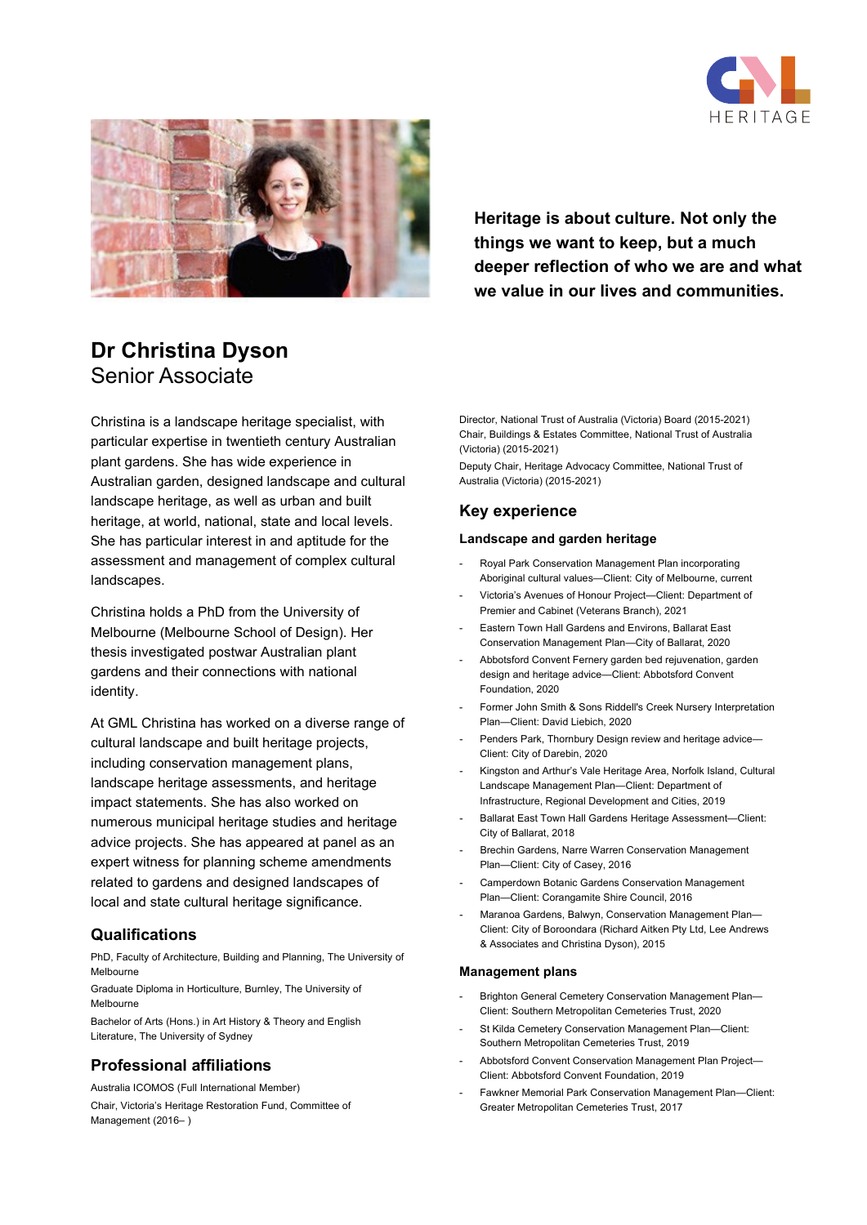



**Heritage is about culture. Not only the things we want to keep, but a much deeper reflection of who we are and what we value in our lives and communities.**

# **Dr Christina Dyson** Senior Associate

Christina is a landscape heritage specialist, with particular expertise in twentieth century Australian plant gardens. She has wide experience in Australian garden, designed landscape and cultural landscape heritage, as well as urban and built heritage, at world, national, state and local levels. She has particular interest in and aptitude for the assessment and management of complex cultural landscapes.

Christina holds a PhD from the University of Melbourne (Melbourne School of Design). Her thesis investigated postwar Australian plant gardens and their connections with national identity.

At GML Christina has worked on a diverse range of cultural landscape and built heritage projects, including conservation management plans, landscape heritage assessments, and heritage impact statements. She has also worked on numerous municipal heritage studies and heritage advice projects. She has appeared at panel as an expert witness for planning scheme amendments related to gardens and designed landscapes of local and state cultural heritage significance.

# **Qualifications**

PhD, Faculty of Architecture, Building and Planning, The University of Melbourne

Graduate Diploma in Horticulture, Burnley, The University of Melbourne

Bachelor of Arts (Hons.) in Art History & Theory and English Literature, The University of Sydney

# **Professional affiliations**

Australia ICOMOS (Full International Member) Chair, Victoria's Heritage Restoration Fund, Committee of Management (2016– )

Director, National Trust of Australia (Victoria) Board (2015-2021) Chair, Buildings & Estates Committee, National Trust of Australia (Victoria) (2015-2021)

Deputy Chair, Heritage Advocacy Committee, National Trust of Australia (Victoria) (2015-2021)

# **Key experience**

### **Landscape and garden heritage**

- Royal Park Conservation Management Plan incorporating Aboriginal cultural values—Client: City of Melbourne, current
- Victoria's Avenues of Honour Project—Client: Department of Premier and Cabinet (Veterans Branch), 2021
- Eastern Town Hall Gardens and Environs, Ballarat East Conservation Management Plan—City of Ballarat, 2020
- Abbotsford Convent Fernery garden bed rejuvenation, garden design and heritage advice—Client: Abbotsford Convent Foundation, 2020
- Former John Smith & Sons Riddell's Creek Nursery Interpretation Plan—Client: David Liebich, 2020
- Penders Park, Thornbury Design review and heritage advice-Client: City of Darebin, 2020
- Kingston and Arthur's Vale Heritage Area, Norfolk Island, Cultural Landscape Management Plan—Client: Department of Infrastructure, Regional Development and Cities, 2019
- Ballarat East Town Hall Gardens Heritage Assessment—Client: City of Ballarat, 2018
- Brechin Gardens, Narre Warren Conservation Management Plan—Client: City of Casey, 2016
- Camperdown Botanic Gardens Conservation Management Plan—Client: Corangamite Shire Council, 2016
- Maranoa Gardens, Balwyn, Conservation Management Plan-Client: City of Boroondara (Richard Aitken Pty Ltd, Lee Andrews & Associates and Christina Dyson), 2015

#### **Management plans**

- Brighton General Cemetery Conservation Management Plan— Client: Southern Metropolitan Cemeteries Trust, 2020
- St Kilda Cemetery Conservation Management Plan-Client: Southern Metropolitan Cemeteries Trust, 2019
- Abbotsford Convent Conservation Management Plan Project— Client: Abbotsford Convent Foundation, 2019
- Fawkner Memorial Park Conservation Management Plan-Client: Greater Metropolitan Cemeteries Trust, 2017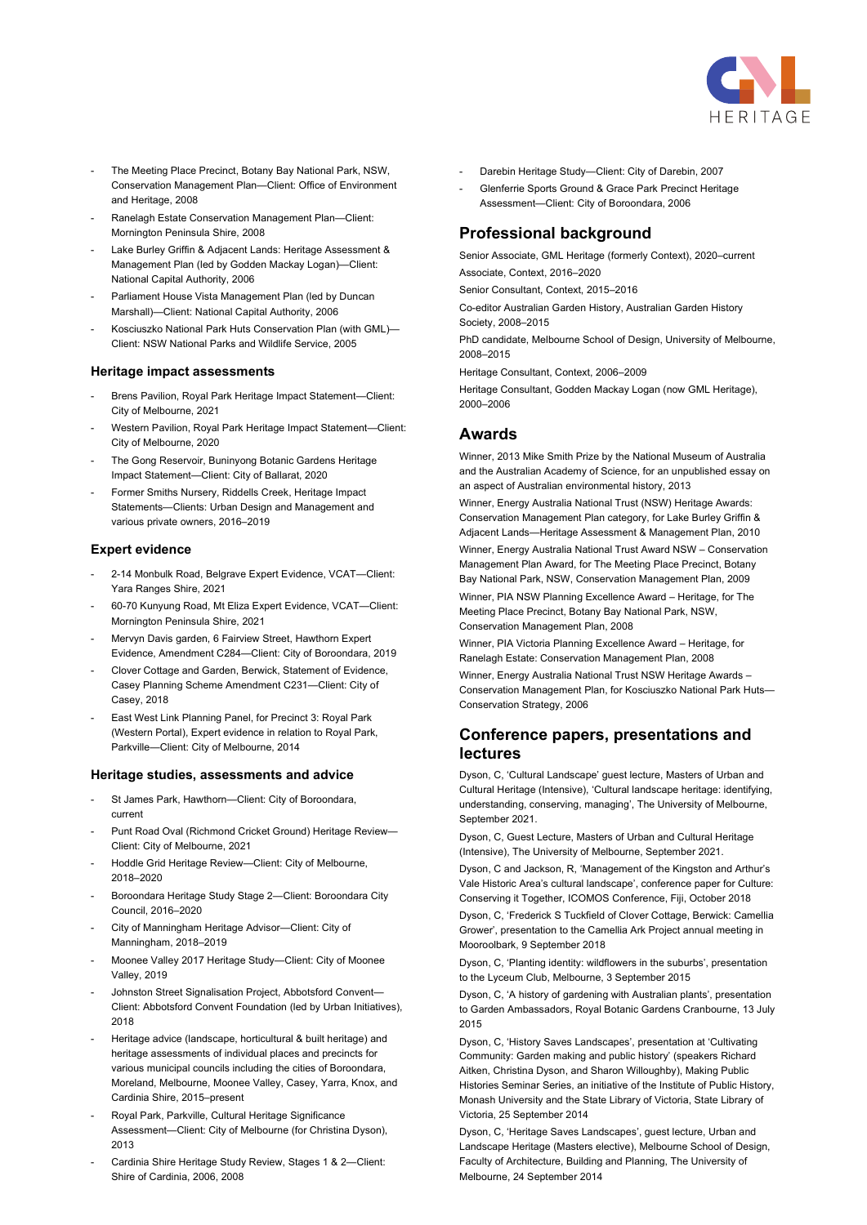

- The Meeting Place Precinct, Botany Bay National Park, NSW, Conservation Management Plan—Client: Office of Environment and Heritage, 2008
- Ranelagh Estate Conservation Management Plan-Client: Mornington Peninsula Shire, 2008
- Lake Burley Griffin & Adjacent Lands: Heritage Assessment & Management Plan (led by Godden Mackay Logan)—Client: National Capital Authority, 2006
- Parliament House Vista Management Plan (led by Duncan Marshall)—Client: National Capital Authority, 2006
- Kosciuszko National Park Huts Conservation Plan (with GML)— Client: NSW National Parks and Wildlife Service, 2005

#### **Heritage impact assessments**

- Brens Pavilion, Royal Park Heritage Impact Statement-Client: City of Melbourne, 2021
- Western Pavilion, Royal Park Heritage Impact Statement—Client: City of Melbourne, 2020
- The Gong Reservoir, Buninyong Botanic Gardens Heritage Impact Statement—Client: City of Ballarat, 2020
- Former Smiths Nursery, Riddells Creek, Heritage Impact Statements—Clients: Urban Design and Management and various private owners, 2016–2019

#### **Expert evidence**

- 2-14 Monbulk Road, Belgrave Expert Evidence, VCAT—Client: Yara Ranges Shire, 2021
- 60-70 Kunyung Road, Mt Eliza Expert Evidence, VCAT—Client: Mornington Peninsula Shire, 2021
- Mervyn Davis garden, 6 Fairview Street, Hawthorn Expert Evidence, Amendment C284—Client: City of Boroondara, 2019
- Clover Cottage and Garden, Berwick, Statement of Evidence, Casey Planning Scheme Amendment C231—Client: City of Casey, 2018
- East West Link Planning Panel, for Precinct 3: Royal Park (Western Portal), Expert evidence in relation to Royal Park, Parkville—Client: City of Melbourne, 2014

#### **Heritage studies, assessments and advice**

- St James Park, Hawthorn-Client: City of Boroondara, current
- Punt Road Oval (Richmond Cricket Ground) Heritage Review-Client: City of Melbourne, 2021
- Hoddle Grid Heritage Review-Client: City of Melbourne, 2018–2020
- Boroondara Heritage Study Stage 2—Client: Boroondara City Council, 2016–2020
- City of Manningham Heritage Advisor—Client: City of Manningham, 2018–2019
- Moonee Valley 2017 Heritage Study-Client: City of Moonee Valley, 2019
- Johnston Street Signalisation Project, Abbotsford Convent— Client: Abbotsford Convent Foundation (led by Urban Initiatives), 2018
- Heritage advice (landscape, horticultural & built heritage) and heritage assessments of individual places and precincts for various municipal councils including the cities of Boroondara, Moreland, Melbourne, Moonee Valley, Casey, Yarra, Knox, and Cardinia Shire, 2015–present
- Royal Park, Parkville, Cultural Heritage Significance Assessment—Client: City of Melbourne (for Christina Dyson), 2013
- Cardinia Shire Heritage Study Review, Stages 1 & 2—Client: Shire of Cardinia, 2006, 2008
- Darebin Heritage Study-Client: City of Darebin, 2007
- Glenferrie Sports Ground & Grace Park Precinct Heritage Assessment—Client: City of Boroondara, 2006

# **Professional background**

Senior Associate, GML Heritage (formerly Context), 2020–current Associate, Context, 2016–2020

Senior Consultant, Context, 2015–2016

Co-editor Australian Garden History, Australian Garden History Society, 2008–2015

PhD candidate, Melbourne School of Design, University of Melbourne, 2008–2015

Heritage Consultant, Context, 2006–2009

Heritage Consultant, Godden Mackay Logan (now GML Heritage), 2000–2006

### **Awards**

Winner, 2013 Mike Smith Prize by the National Museum of Australia and the Australian Academy of Science, for an unpublished essay on an aspect of Australian environmental history, 2013

Winner, Energy Australia National Trust (NSW) Heritage Awards: Conservation Management Plan category, for Lake Burley Griffin & Adjacent Lands—Heritage Assessment & Management Plan, 2010 Winner, Energy Australia National Trust Award NSW – Conservation

Management Plan Award, for The Meeting Place Precinct, Botany Bay National Park, NSW, Conservation Management Plan, 2009

Winner, PIA NSW Planning Excellence Award – Heritage, for The Meeting Place Precinct, Botany Bay National Park, NSW, Conservation Management Plan, 2008

Winner, PIA Victoria Planning Excellence Award – Heritage, for Ranelagh Estate: Conservation Management Plan, 2008

Winner, Energy Australia National Trust NSW Heritage Awards – Conservation Management Plan, for Kosciuszko National Park Huts— Conservation Strategy, 2006

# **Conference papers, presentations and lectures**

Dyson, C, 'Cultural Landscape' guest lecture, Masters of Urban and Cultural Heritage (Intensive), 'Cultural landscape heritage: identifying, understanding, conserving, managing', The University of Melbourne, September 2021.

Dyson, C, Guest Lecture, Masters of Urban and Cultural Heritage (Intensive), The University of Melbourne, September 2021.

Dyson, C and Jackson, R, 'Management of the Kingston and Arthur's Vale Historic Area's cultural landscape', conference paper for Culture: Conserving it Together, ICOMOS Conference, Fiji, October 2018

Dyson, C, 'Frederick S Tuckfield of Clover Cottage, Berwick: Camellia Grower', presentation to the Camellia Ark Project annual meeting in Mooroolbark, 9 September 2018

Dyson, C, 'Planting identity: wildflowers in the suburbs', presentation to the Lyceum Club, Melbourne, 3 September 2015

Dyson, C, 'A history of gardening with Australian plants', presentation to Garden Ambassadors, Royal Botanic Gardens Cranbourne, 13 July 2015

Dyson, C, 'History Saves Landscapes', presentation at 'Cultivating Community: Garden making and public history' (speakers Richard Aitken, Christina Dyson, and Sharon Willoughby), Making Public Histories Seminar Series, an initiative of the Institute of Public History, Monash University and the State Library of Victoria, State Library of Victoria, 25 September 2014

Dyson, C, 'Heritage Saves Landscapes', guest lecture, Urban and Landscape Heritage (Masters elective), Melbourne School of Design, Faculty of Architecture, Building and Planning, The University of Melbourne, 24 September 2014